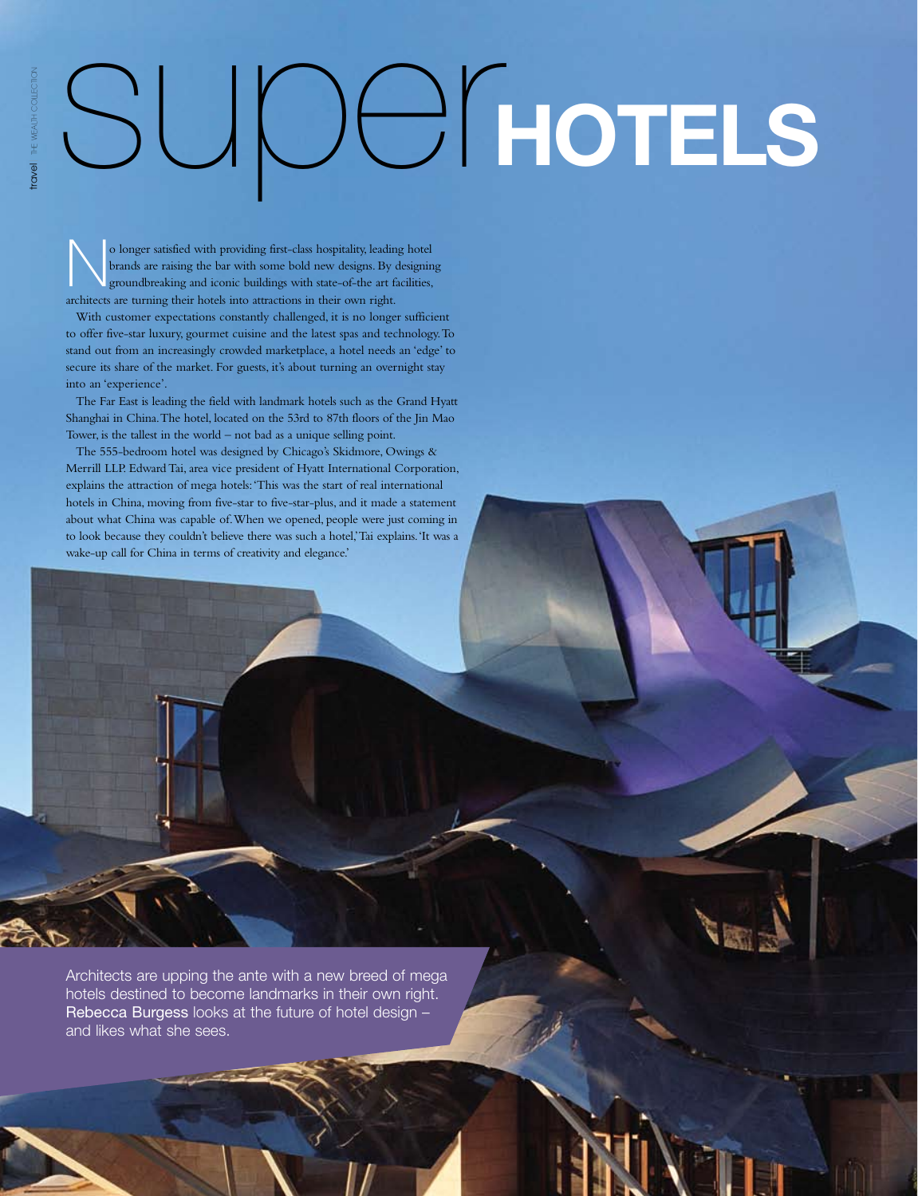## super**hotels**

o longer satisfied with providing first-class hospitality, leading hotel<br>brands are raising the bar with some bold new designs. By designing<br>proundbreaking and iconic buildings with state-of-the art facilities,<br>seekitost a brands are raising the bar with some bold new designs. By designing groundbreaking and iconic buildings with state-of-the art facilities, architects are turning their hotels into attractions in their own right.

With customer expectations constantly challenged, it is no longer sufficient to offer five-star luxury, gourmet cuisine and the latest spas and technology. To stand out from an increasingly crowded marketplace, a hotel needs an 'edge' to secure its share of the market. For guests, it's about turning an overnight stay into an 'experience'.

The Far East is leading the field with landmark hotels such as the Grand Hyatt Shanghai in China. The hotel, located on the 53rd to 87th floors of the Jin Mao Tower, is the tallest in the world – not bad as a unique selling point.

The 555-bedroom hotel was designed by Chicago's Skidmore, Owings & Merrill LLP. Edward Tai, area vice president of Hyatt International Corporation, explains the attraction of mega hotels: 'This was the start of real international hotels in China, moving from five-star to five-star-plus, and it made a statement about what China was capable of. When we opened, people were just coming in to look because they couldn't believe there was such a hotel,' Tai explains. 'It was a wake-up call for China in terms of creativity and elegance.'

Architects are upping the ante with a new breed of mega hotels destined to become landmarks in their own right. Rebecca Burgess looks at the future of hotel design – and likes what she sees.